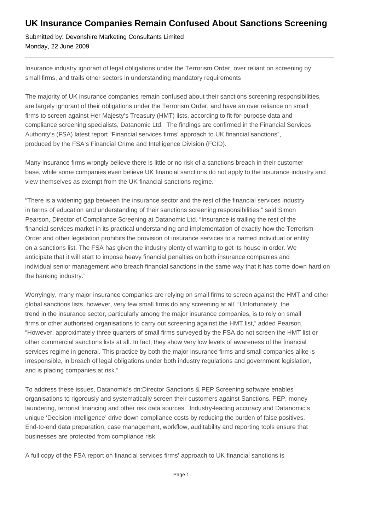## **UK Insurance Companies Remain Confused About Sanctions Screening**

Submitted by: Devonshire Marketing Consultants Limited Monday, 22 June 2009

Insurance industry ignorant of legal obligations under the Terrorism Order, over reliant on screening by small firms, and trails other sectors in understanding mandatory requirements

The majority of UK insurance companies remain confused about their sanctions screening responsibilities, are largely ignorant of their obligations under the Terrorism Order, and have an over reliance on small firms to screen against Her Majesty's Treasury (HMT) lists, according to fit-for-purpose data and compliance screening specialists, Datanomic Ltd. The findings are confirmed in the Financial Services Authority's (FSA) latest report "Financial services firms' approach to UK financial sanctions", produced by the FSA's Financial Crime and Intelligence Division (FCID).

Many insurance firms wrongly believe there is little or no risk of a sanctions breach in their customer base, while some companies even believe UK financial sanctions do not apply to the insurance industry and view themselves as exempt from the UK financial sanctions regime.

"There is a widening gap between the insurance sector and the rest of the financial services industry in terms of education and understanding of their sanctions screening responsibilities," said Simon Pearson, Director of Compliance Screening at Datanomic Ltd. "Insurance is trailing the rest of the financial services market in its practical understanding and implementation of exactly how the Terrorism Order and other legislation prohibits the provision of insurance services to a named individual or entity on a sanctions list. The FSA has given the industry plenty of warning to get its house in order. We anticipate that it will start to impose heavy financial penalties on both insurance companies and individual senior management who breach financial sanctions in the same way that it has come down hard on the banking industry."

Worryingly, many major insurance companies are relying on small firms to screen against the HMT and other global sanctions lists, however, very few small firms do any screening at all. "Unfortunately, the trend in the insurance sector, particularly among the major insurance companies, is to rely on small firms or other authorised organisations to carry out screening against the HMT list," added Pearson. "However, approximately three quarters of small firms surveyed by the FSA do not screen the HMT list or other commercial sanctions lists at all. In fact, they show very low levels of awareness of the financial services regime in general. This practice by both the major insurance firms and small companies alike is irresponsible, in breach of legal obligations under both industry regulations and government legislation, and is placing companies at risk."

To address these issues, Datanomic's dn:Director Sanctions & PEP Screening software enables organisations to rigorously and systematically screen their customers against Sanctions, PEP, money laundering, terrorist financing and other risk data sources. Industry-leading accuracy and Datanomic's unique 'Decision Intelligence' drive down compliance costs by reducing the burden of false positives. End-to-end data preparation, case management, workflow, auditability and reporting tools ensure that businesses are protected from compliance risk.

A full copy of the FSA report on financial services firms' approach to UK financial sanctions is